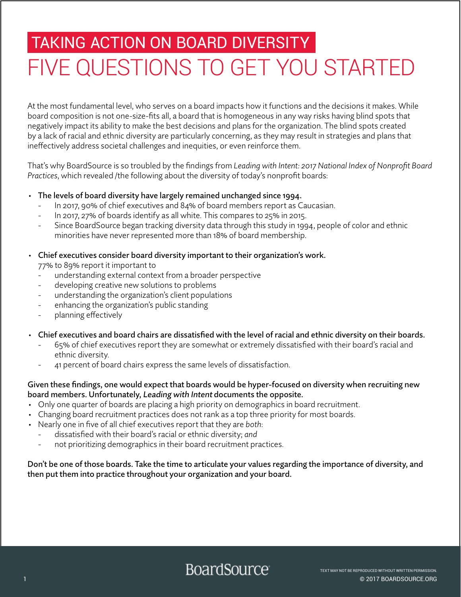# TAKING ACTION ON BOARD DIVERSITY FIVE QUESTIONS TO GET YOU STARTED

At the most fundamental level, who serves on a board impacts how it functions and the decisions it makes. While board composition is not one-size-fits all, a board that is homogeneous in any way risks having blind spots that negatively impact its ability to make the best decisions and plans for the organization. The blind spots created by a lack of racial and ethnic diversity are particularly concerning, as they may result in strategies and plans that ineffectively address societal challenges and inequities, or even reinforce them.

That's why BoardSource is so troubled by the findings from *Leading with Intent: 2017 National Index of Nonprofit Board Practices*, which revealed /the following about the diversity of today's nonprofit boards:

- The levels of board diversity have largely remained unchanged since 1994.
	- In 2017, 90% of chief executives and 84% of board members report as Caucasian.
	- In 2017, 27% of boards identify as all white. This compares to 25% in 2015.
	- Since BoardSource began tracking diversity data through this study in 1994, people of color and ethnic minorities have never represented more than 18% of board membership.
- Chief executives consider board diversity important to their organization's work.

77% to 89% report it important to

- understanding external context from a broader perspective
- developing creative new solutions to problems
- understanding the organization's client populations
- enhancing the organization's public standing
- planning effectively
- Chief executives and board chairs are dissatisfied with the level of racial and ethnic diversity on their boards.
	- 65% of chief executives report they are somewhat or extremely dissatisfied with their board's racial and ethnic diversity.
	- 41 percent of board chairs express the same levels of dissatisfaction.

### Given these findings, one would expect that boards would be hyper-focused on diversity when recruiting new board members. Unfortunately, Leading with Intent documents the opposite.

- Only one quarter of boards are placing a high priority on demographics in board recruitment.
- Changing board recruitment practices does not rank as a top three priority for most boards.
- Nearly one in five of all chief executives report that they are *both*:
	- dissatisfied with their board's racial or ethnic diversity; *and*
	- not prioritizing demographics in their board recruitment practices.

## Don't be one of those boards. Take the time to articulate your values regarding the importance of diversity, and then put them into practice throughout your organization and your board.

# **BoardSource**